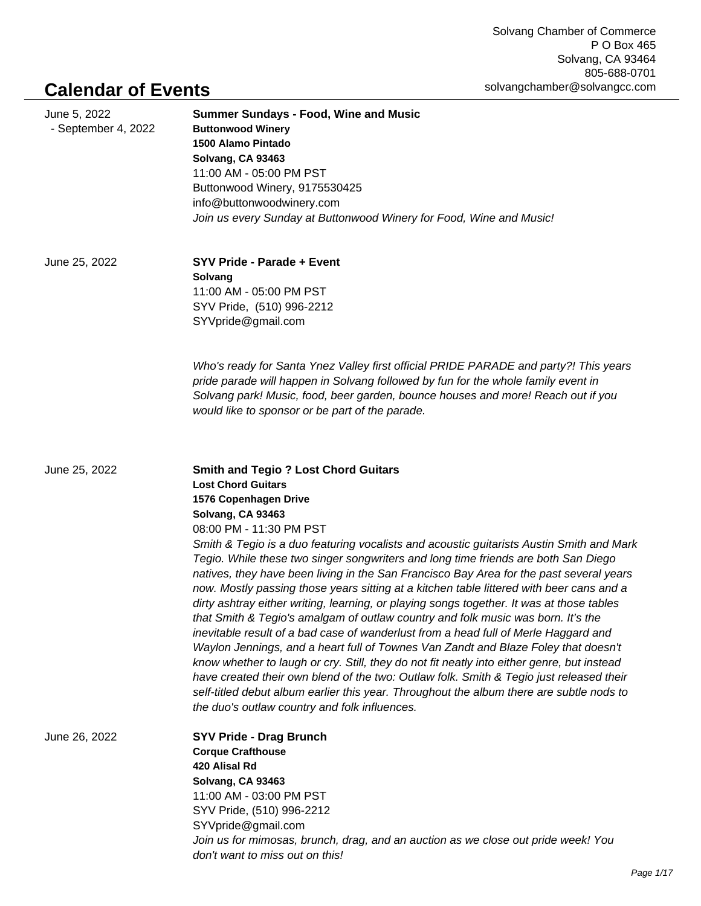## **Calendar of Events**

| June 5, 2022<br>- September 4, 2022 | <b>Summer Sundays - Food, Wine and Music</b><br><b>Buttonwood Winery</b><br>1500 Alamo Pintado<br>Solvang, CA 93463<br>11:00 AM - 05:00 PM PST<br>Buttonwood Winery, 9175530425<br>info@buttonwoodwinery.com<br>Join us every Sunday at Buttonwood Winery for Food, Wine and Music!                                                                                                                                                                                                                                                                                                                                                                                                                                                                                                                                                                                                                                                                                                                                                                                                                                                                                                                                            |
|-------------------------------------|--------------------------------------------------------------------------------------------------------------------------------------------------------------------------------------------------------------------------------------------------------------------------------------------------------------------------------------------------------------------------------------------------------------------------------------------------------------------------------------------------------------------------------------------------------------------------------------------------------------------------------------------------------------------------------------------------------------------------------------------------------------------------------------------------------------------------------------------------------------------------------------------------------------------------------------------------------------------------------------------------------------------------------------------------------------------------------------------------------------------------------------------------------------------------------------------------------------------------------|
| June 25, 2022                       | SYV Pride - Parade + Event<br>Solvang<br>11:00 AM - 05:00 PM PST<br>SYV Pride, (510) 996-2212<br>SYVpride@gmail.com                                                                                                                                                                                                                                                                                                                                                                                                                                                                                                                                                                                                                                                                                                                                                                                                                                                                                                                                                                                                                                                                                                            |
|                                     | Who's ready for Santa Ynez Valley first official PRIDE PARADE and party?! This years<br>pride parade will happen in Solvang followed by fun for the whole family event in<br>Solvang park! Music, food, beer garden, bounce houses and more! Reach out if you<br>would like to sponsor or be part of the parade.                                                                                                                                                                                                                                                                                                                                                                                                                                                                                                                                                                                                                                                                                                                                                                                                                                                                                                               |
| June 25, 2022                       | <b>Smith and Tegio ? Lost Chord Guitars</b><br><b>Lost Chord Guitars</b><br>1576 Copenhagen Drive<br>Solvang, CA 93463<br>08:00 PM - 11:30 PM PST<br>Smith & Tegio is a duo featuring vocalists and acoustic guitarists Austin Smith and Mark<br>Tegio. While these two singer songwriters and long time friends are both San Diego<br>natives, they have been living in the San Francisco Bay Area for the past several years<br>now. Mostly passing those years sitting at a kitchen table littered with beer cans and a<br>dirty ashtray either writing, learning, or playing songs together. It was at those tables<br>that Smith & Tegio's amalgam of outlaw country and folk music was born. It's the<br>inevitable result of a bad case of wanderlust from a head full of Merle Haggard and<br>Waylon Jennings, and a heart full of Townes Van Zandt and Blaze Foley that doesn't<br>know whether to laugh or cry. Still, they do not fit neatly into either genre, but instead<br>have created their own blend of the two: Outlaw folk. Smith & Tegio just released their<br>self-titled debut album earlier this year. Throughout the album there are subtle nods to<br>the duo's outlaw country and folk influences. |
| June 26, 2022                       | <b>SYV Pride - Drag Brunch</b><br><b>Corque Crafthouse</b><br>420 Alisal Rd<br>Solvang, CA 93463<br>11:00 AM - 03:00 PM PST<br>SYV Pride, (510) 996-2212<br>SYVpride@gmail.com<br>Join us for mimosas, brunch, drag, and an auction as we close out pride week! You<br>don't want to miss out on this!                                                                                                                                                                                                                                                                                                                                                                                                                                                                                                                                                                                                                                                                                                                                                                                                                                                                                                                         |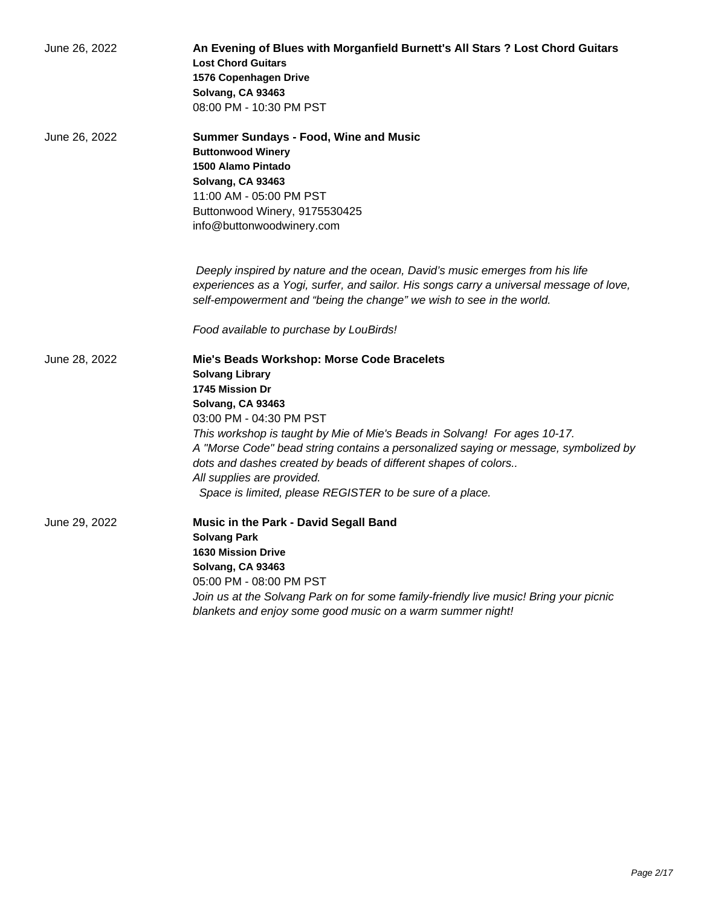| June 26, 2022 | An Evening of Blues with Morganfield Burnett's All Stars ? Lost Chord Guitars<br><b>Lost Chord Guitars</b><br>1576 Copenhagen Drive<br>Solvang, CA 93463<br>08:00 PM - 10:30 PM PST                                                                                                                                                                                                                                                                                     |
|---------------|-------------------------------------------------------------------------------------------------------------------------------------------------------------------------------------------------------------------------------------------------------------------------------------------------------------------------------------------------------------------------------------------------------------------------------------------------------------------------|
| June 26, 2022 | <b>Summer Sundays - Food, Wine and Music</b><br><b>Buttonwood Winery</b><br>1500 Alamo Pintado<br>Solvang, CA 93463<br>11:00 AM - 05:00 PM PST<br>Buttonwood Winery, 9175530425<br>info@buttonwoodwinery.com                                                                                                                                                                                                                                                            |
|               | Deeply inspired by nature and the ocean, David's music emerges from his life<br>experiences as a Yogi, surfer, and sailor. His songs carry a universal message of love,<br>self-empowerment and "being the change" we wish to see in the world.                                                                                                                                                                                                                         |
|               | Food available to purchase by LouBirds!                                                                                                                                                                                                                                                                                                                                                                                                                                 |
| June 28, 2022 | Mie's Beads Workshop: Morse Code Bracelets<br><b>Solvang Library</b><br>1745 Mission Dr<br>Solvang, CA 93463<br>03:00 PM - 04:30 PM PST<br>This workshop is taught by Mie of Mie's Beads in Solvang! For ages 10-17.<br>A "Morse Code" bead string contains a personalized saying or message, symbolized by<br>dots and dashes created by beads of different shapes of colors<br>All supplies are provided.<br>Space is limited, please REGISTER to be sure of a place. |
| June 29, 2022 | Music in the Park - David Segall Band<br><b>Solvang Park</b><br><b>1630 Mission Drive</b><br>Solvang, CA 93463<br>05:00 PM - 08:00 PM PST<br>Join us at the Solvang Park on for some family-friendly live music! Bring your picnic<br>blankets and enjoy some good music on a warm summer night!                                                                                                                                                                        |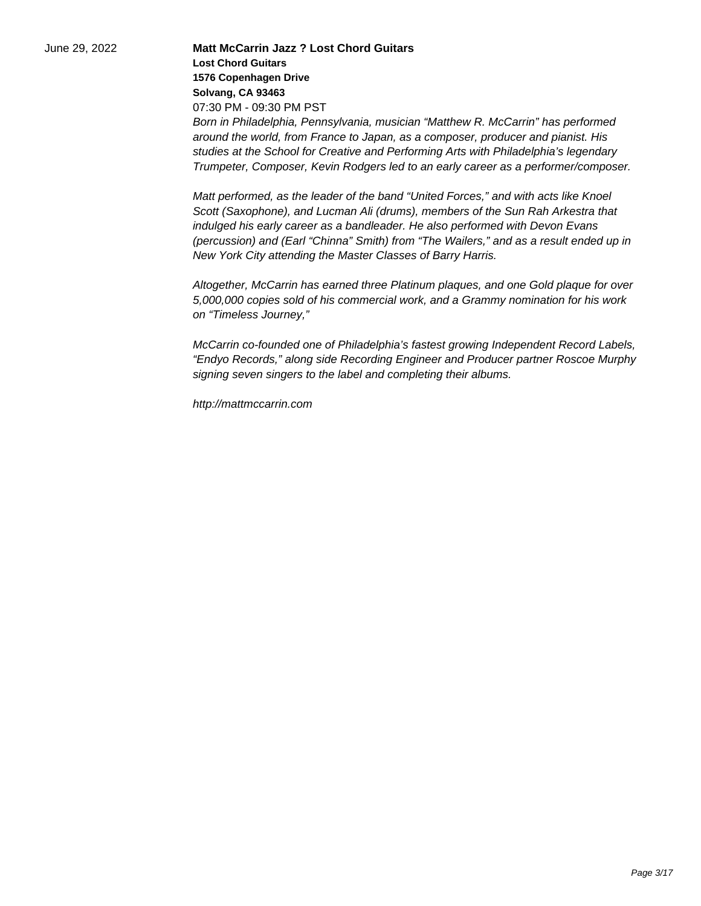June 29, 2022 **Matt McCarrin Jazz ? Lost Chord Guitars Lost Chord Guitars 1576 Copenhagen Drive Solvang, CA 93463** 07:30 PM - 09:30 PM PST Born in Philadelphia, Pennsylvania, musician "Matthew R. McCarrin" has performed around the world, from France to Japan, as a composer, producer and pianist. His studies at the School for Creative and Performing Arts with Philadelphia's legendary

> Matt performed, as the leader of the band "United Forces," and with acts like Knoel Scott (Saxophone), and Lucman Ali (drums), members of the Sun Rah Arkestra that indulged his early career as a bandleader. He also performed with Devon Evans (percussion) and (Earl "Chinna" Smith) from "The Wailers," and as a result ended up in New York City attending the Master Classes of Barry Harris.

> Trumpeter, Composer, Kevin Rodgers led to an early career as a performer/composer.

Altogether, McCarrin has earned three Platinum plaques, and one Gold plaque for over 5,000,000 copies sold of his commercial work, and a Grammy nomination for his work on "Timeless Journey,"

McCarrin co-founded one of Philadelphia's fastest growing Independent Record Labels, "Endyo Records," along side Recording Engineer and Producer partner Roscoe Murphy signing seven singers to the label and completing their albums.

http://mattmccarrin.com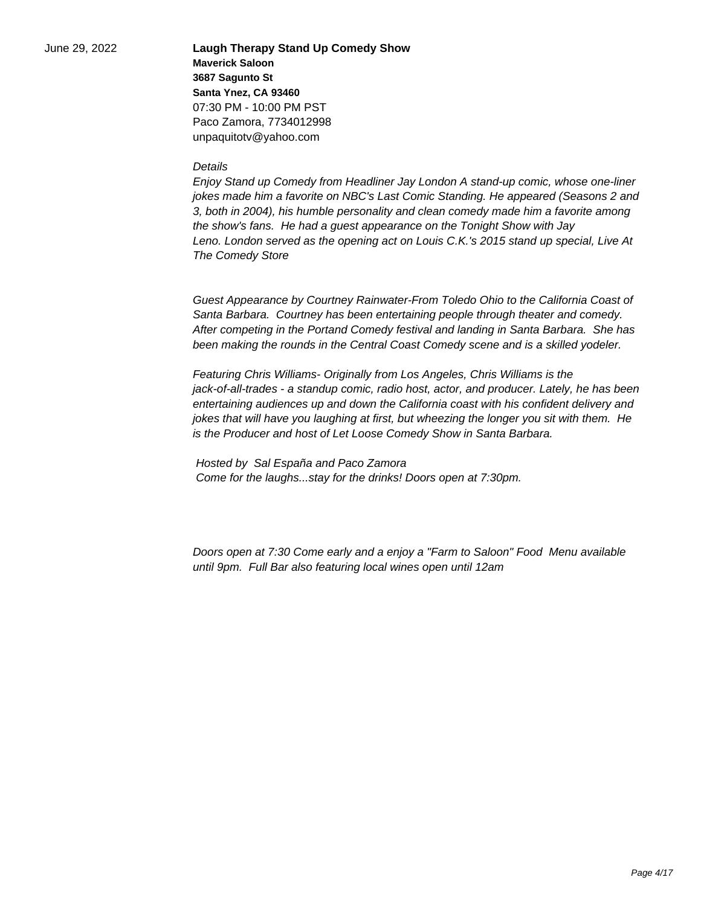June 29, 2022 **Laugh Therapy Stand Up Comedy Show Maverick Saloon 3687 Sagunto St Santa Ynez, CA 93460** 07:30 PM - 10:00 PM PST Paco Zamora, 7734012998 unpaquitotv@yahoo.com

## **Details**

Enjoy Stand up Comedy from Headliner Jay London A stand-up comic, whose one-liner jokes made him a favorite on NBC's Last Comic Standing. He appeared (Seasons 2 and 3, both in 2004), his humble personality and clean comedy made him a favorite among the show's fans. He had a guest appearance on the Tonight Show with Jay Leno. London served as the opening act on Louis C.K.'s 2015 stand up special, Live At The Comedy Store

Guest Appearance by Courtney Rainwater-From Toledo Ohio to the California Coast of Santa Barbara. Courtney has been entertaining people through theater and comedy. After competing in the Portand Comedy festival and landing in Santa Barbara. She has been making the rounds in the Central Coast Comedy scene and is a skilled yodeler.

Featuring Chris Williams- Originally from Los Angeles, Chris Williams is the jack-of-all-trades - a standup comic, radio host, actor, and producer. Lately, he has been entertaining audiences up and down the California coast with his confident delivery and jokes that will have you laughing at first, but wheezing the longer you sit with them. He is the Producer and host of Let Loose Comedy Show in Santa Barbara.

 Hosted by Sal España and Paco Zamora Come for the laughs...stay for the drinks! Doors open at 7:30pm.

Doors open at 7:30 Come early and a enjoy a "Farm to Saloon" Food Menu available until 9pm. Full Bar also featuring local wines open until 12am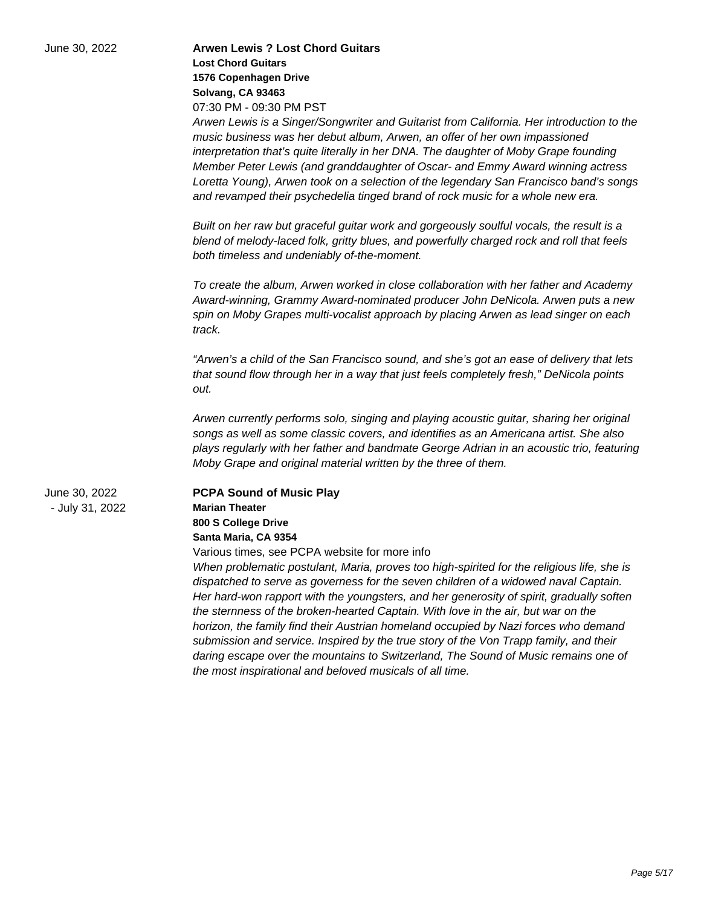| June 30, 2022                    | <b>Arwen Lewis ? Lost Chord Guitars</b><br><b>Lost Chord Guitars</b><br>1576 Copenhagen Drive<br>Solvang, CA 93463<br>07:30 PM - 09:30 PM PST<br>Arwen Lewis is a Singer/Songwriter and Guitarist from California. Her introduction to the<br>music business was her debut album, Arwen, an offer of her own impassioned<br>interpretation that's quite literally in her DNA. The daughter of Moby Grape founding<br>Member Peter Lewis (and granddaughter of Oscar- and Emmy Award winning actress<br>Loretta Young), Arwen took on a selection of the legendary San Francisco band's songs<br>and revamped their psychedelia tinged brand of rock music for a whole new era.<br>Built on her raw but graceful guitar work and gorgeously soulful vocals, the result is a<br>blend of melody-laced folk, gritty blues, and powerfully charged rock and roll that feels<br>both timeless and undeniably of-the-moment. |
|----------------------------------|------------------------------------------------------------------------------------------------------------------------------------------------------------------------------------------------------------------------------------------------------------------------------------------------------------------------------------------------------------------------------------------------------------------------------------------------------------------------------------------------------------------------------------------------------------------------------------------------------------------------------------------------------------------------------------------------------------------------------------------------------------------------------------------------------------------------------------------------------------------------------------------------------------------------|
|                                  | To create the album, Arwen worked in close collaboration with her father and Academy<br>Award-winning, Grammy Award-nominated producer John DeNicola. Arwen puts a new<br>spin on Moby Grapes multi-vocalist approach by placing Arwen as lead singer on each<br>track.<br>"Arwen's a child of the San Francisco sound, and she's got an ease of delivery that lets<br>that sound flow through her in a way that just feels completely fresh," DeNicola points<br>out.                                                                                                                                                                                                                                                                                                                                                                                                                                                 |
|                                  | Arwen currently performs solo, singing and playing acoustic guitar, sharing her original<br>songs as well as some classic covers, and identifies as an Americana artist. She also<br>plays regularly with her father and bandmate George Adrian in an acoustic trio, featuring<br>Moby Grape and original material written by the three of them.                                                                                                                                                                                                                                                                                                                                                                                                                                                                                                                                                                       |
| June 30, 2022<br>- July 31, 2022 | <b>PCPA Sound of Music Play</b><br><b>Marian Theater</b><br>800 S College Drive<br>Santa Maria, CA 9354<br>Various times, see PCPA website for more info<br>When problematic postulant, Maria, proves too high-spirited for the religious life, she is<br>dispatched to serve as governess for the seven children of a widowed naval Captain.<br>Her hard-won rapport with the youngsters, and her generosity of spirit, gradually soften<br>the sternness of the broken-hearted Captain. With love in the air, but war on the<br>horizon, the family find their Austrian homeland occupied by Nazi forces who demand<br>submission and service. Inspired by the true story of the Von Trapp family, and their                                                                                                                                                                                                         |

the most inspirational and beloved musicals of all time.

daring escape over the mountains to Switzerland, The Sound of Music remains one of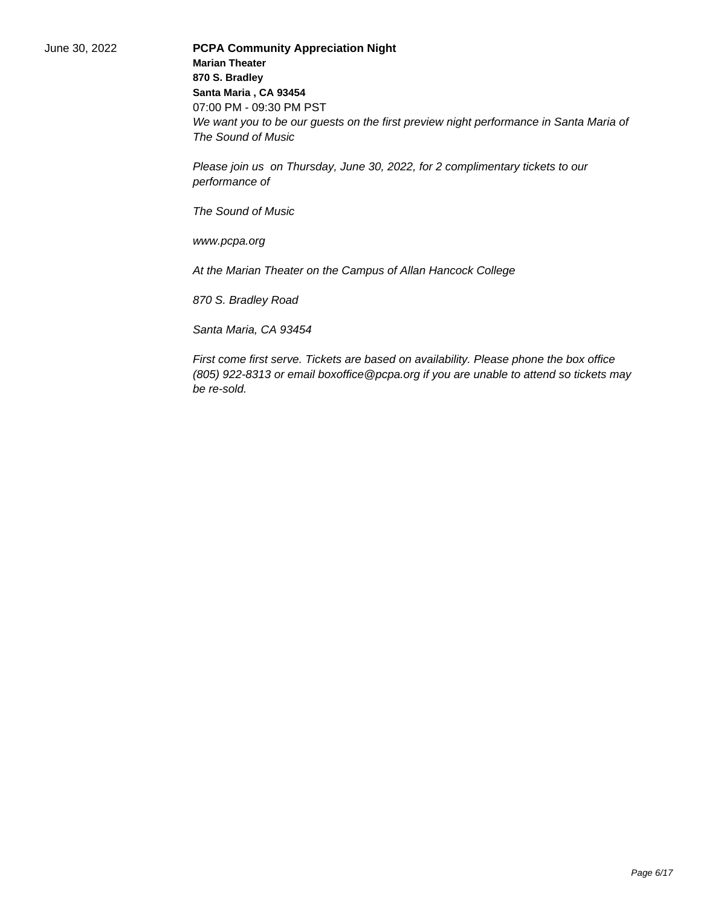June 30, 2022 **PCPA Community Appreciation Night Marian Theater 870 S. Bradley Santa Maria , CA 93454** 07:00 PM - 09:30 PM PST We want you to be our guests on the first preview night performance in Santa Maria of The Sound of Music

> Please join us on Thursday, June 30, 2022, for 2 complimentary tickets to our performance of

The Sound of Music

www.pcpa.org

At the Marian Theater on the Campus of Allan Hancock College

870 S. Bradley Road

Santa Maria, CA 93454

First come first serve. Tickets are based on availability. Please phone the box office (805) 922-8313 or email boxoffice@pcpa.org if you are unable to attend so tickets may be re-sold.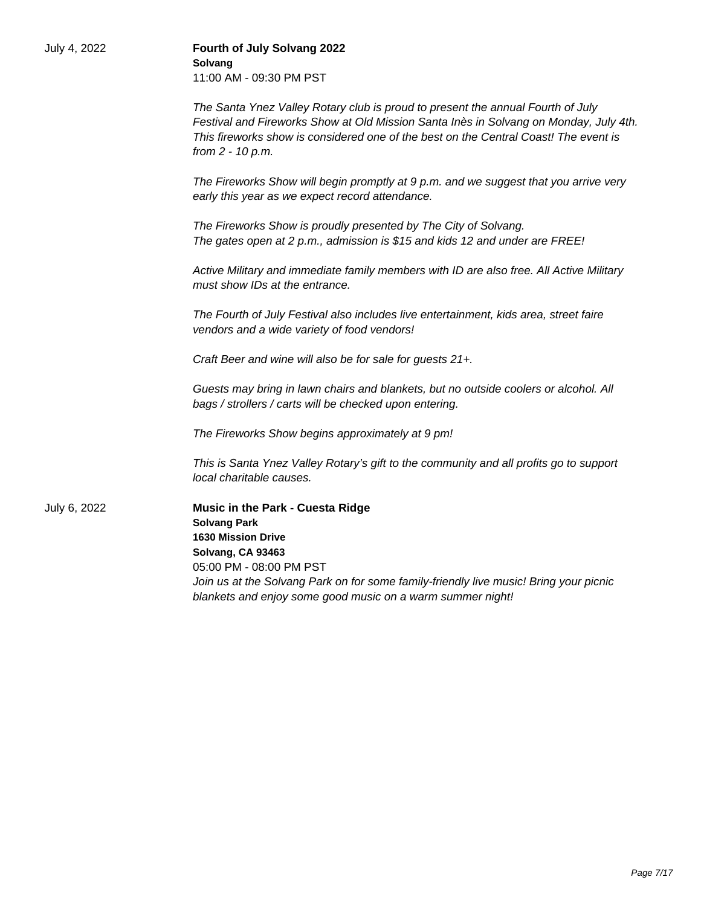| July 4, 2022 | Fourth of July Solvang 2022<br>Solvang<br>11:00 AM - 09:30 PM PST                                                                                                                                                                                                                           |
|--------------|---------------------------------------------------------------------------------------------------------------------------------------------------------------------------------------------------------------------------------------------------------------------------------------------|
|              | The Santa Ynez Valley Rotary club is proud to present the annual Fourth of July<br>Festival and Fireworks Show at Old Mission Santa Inès in Solvang on Monday, July 4th.<br>This fireworks show is considered one of the best on the Central Coast! The event is<br>from 2 - 10 p.m.        |
|              | The Fireworks Show will begin promptly at 9 p.m. and we suggest that you arrive very<br>early this year as we expect record attendance.                                                                                                                                                     |
|              | The Fireworks Show is proudly presented by The City of Solvang.<br>The gates open at 2 p.m., admission is \$15 and kids 12 and under are FREE!                                                                                                                                              |
|              | Active Military and immediate family members with ID are also free. All Active Military<br>must show IDs at the entrance.                                                                                                                                                                   |
|              | The Fourth of July Festival also includes live entertainment, kids area, street faire<br>vendors and a wide variety of food vendors!                                                                                                                                                        |
|              | Craft Beer and wine will also be for sale for guests 21+.                                                                                                                                                                                                                                   |
|              | Guests may bring in lawn chairs and blankets, but no outside coolers or alcohol. All<br>bags / strollers / carts will be checked upon entering.                                                                                                                                             |
|              | The Fireworks Show begins approximately at 9 pm!                                                                                                                                                                                                                                            |
|              | This is Santa Ynez Valley Rotary's gift to the community and all profits go to support<br>local charitable causes.                                                                                                                                                                          |
| July 6, 2022 | Music in the Park - Cuesta Ridge<br><b>Solvang Park</b><br><b>1630 Mission Drive</b><br>Solvang, CA 93463<br>05:00 PM - 08:00 PM PST<br>Join us at the Solvang Park on for some family-friendly live music! Bring your picnic<br>blankets and enjoy some good music on a warm summer night! |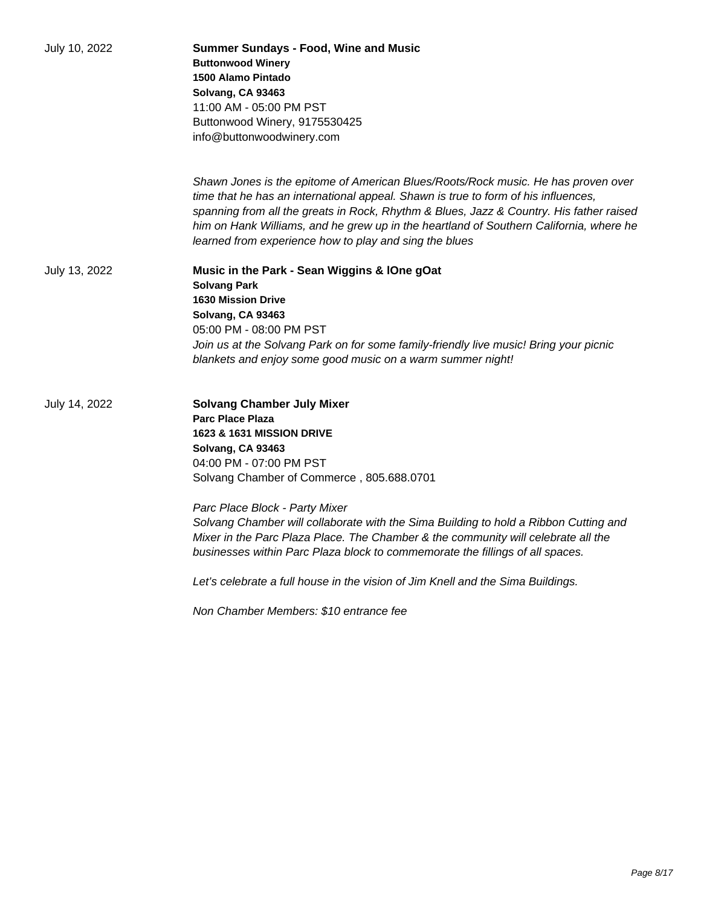| July 10, 2022 | <b>Summer Sundays - Food, Wine and Music</b><br><b>Buttonwood Winery</b><br>1500 Alamo Pintado<br>Solvang, CA 93463<br>11:00 AM - 05:00 PM PST<br>Buttonwood Winery, 9175530425<br>info@buttonwoodwinery.com                                                                                                                                                                                                           |
|---------------|------------------------------------------------------------------------------------------------------------------------------------------------------------------------------------------------------------------------------------------------------------------------------------------------------------------------------------------------------------------------------------------------------------------------|
|               | Shawn Jones is the epitome of American Blues/Roots/Rock music. He has proven over<br>time that he has an international appeal. Shawn is true to form of his influences,<br>spanning from all the greats in Rock, Rhythm & Blues, Jazz & Country. His father raised<br>him on Hank Williams, and he grew up in the heartland of Southern California, where he<br>learned from experience how to play and sing the blues |
| July 13, 2022 | Music in the Park - Sean Wiggins & IOne gOat<br><b>Solvang Park</b><br><b>1630 Mission Drive</b><br>Solvang, CA 93463<br>05:00 PM - 08:00 PM PST<br>Join us at the Solvang Park on for some family-friendly live music! Bring your picnic<br>blankets and enjoy some good music on a warm summer night!                                                                                                                |
| July 14, 2022 | <b>Solvang Chamber July Mixer</b><br><b>Parc Place Plaza</b><br>1623 & 1631 MISSION DRIVE<br>Solvang, CA 93463<br>04:00 PM - 07:00 PM PST<br>Solvang Chamber of Commerce, 805.688.0701                                                                                                                                                                                                                                 |
|               | Parc Place Block - Party Mixer<br>Solvang Chamber will collaborate with the Sima Building to hold a Ribbon Cutting and<br>Mixer in the Parc Plaza Place. The Chamber & the community will celebrate all the<br>businesses within Parc Plaza block to commemorate the fillings of all spaces.                                                                                                                           |
|               | Let's celebrate a full house in the vision of Jim Knell and the Sima Buildings.                                                                                                                                                                                                                                                                                                                                        |
|               | Non Chamber Members: \$10 entrance fee                                                                                                                                                                                                                                                                                                                                                                                 |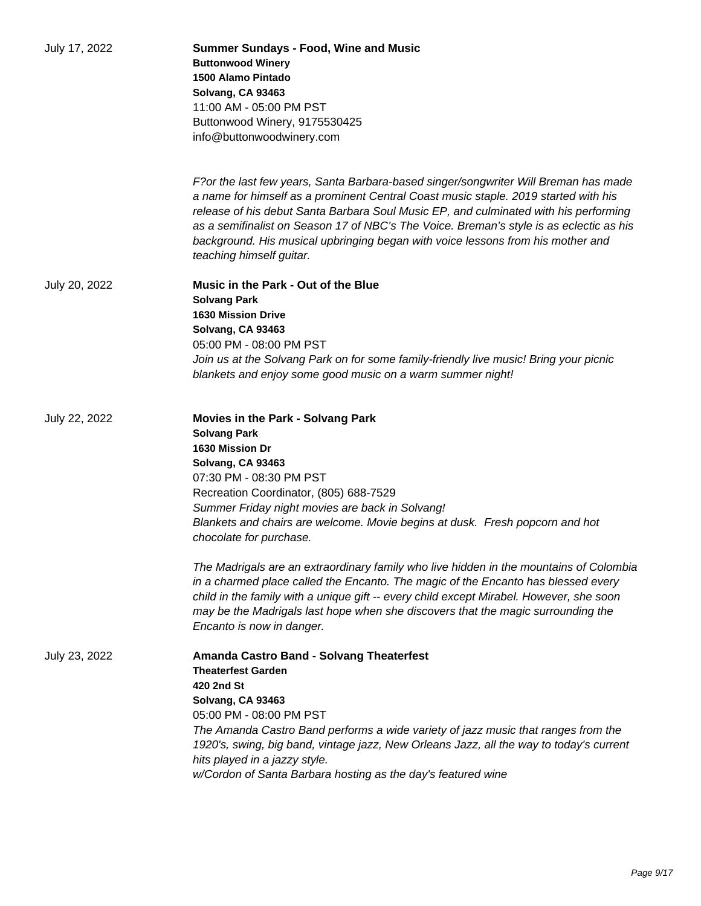| July 17, 2022 | <b>Summer Sundays - Food, Wine and Music</b><br><b>Buttonwood Winery</b><br>1500 Alamo Pintado<br>Solvang, CA 93463<br>11:00 AM - 05:00 PM PST<br>Buttonwood Winery, 9175530425<br>info@buttonwoodwinery.com                                                                                                                                                                                                                                                                 |
|---------------|------------------------------------------------------------------------------------------------------------------------------------------------------------------------------------------------------------------------------------------------------------------------------------------------------------------------------------------------------------------------------------------------------------------------------------------------------------------------------|
|               | F?or the last few years, Santa Barbara-based singer/songwriter Will Breman has made<br>a name for himself as a prominent Central Coast music staple. 2019 started with his<br>release of his debut Santa Barbara Soul Music EP, and culminated with his performing<br>as a semifinalist on Season 17 of NBC's The Voice. Breman's style is as eclectic as his<br>background. His musical upbringing began with voice lessons from his mother and<br>teaching himself guitar. |
| July 20, 2022 | Music in the Park - Out of the Blue<br><b>Solvang Park</b><br><b>1630 Mission Drive</b><br>Solvang, CA 93463<br>05:00 PM - 08:00 PM PST<br>Join us at the Solvang Park on for some family-friendly live music! Bring your picnic<br>blankets and enjoy some good music on a warm summer night!                                                                                                                                                                               |
| July 22, 2022 | <b>Movies in the Park - Solvang Park</b><br><b>Solvang Park</b><br>1630 Mission Dr<br>Solvang, CA 93463<br>07:30 PM - 08:30 PM PST<br>Recreation Coordinator, (805) 688-7529<br>Summer Friday night movies are back in Solvang!<br>Blankets and chairs are welcome. Movie begins at dusk. Fresh popcorn and hot<br>chocolate for purchase.                                                                                                                                   |
|               | The Madrigals are an extraordinary family who live hidden in the mountains of Colombia<br>in a charmed place called the Encanto. The magic of the Encanto has blessed every<br>child in the family with a unique gift -- every child except Mirabel. However, she soon<br>may be the Madrigals last hope when she discovers that the magic surrounding the<br>Encanto is now in danger.                                                                                      |
| July 23, 2022 | Amanda Castro Band - Solvang Theaterfest<br><b>Theaterfest Garden</b><br>420 2nd St<br>Solvang, CA 93463<br>05:00 PM - 08:00 PM PST<br>The Amanda Castro Band performs a wide variety of jazz music that ranges from the<br>1920's, swing, big band, vintage jazz, New Orleans Jazz, all the way to today's current<br>hits played in a jazzy style.<br>w/Cordon of Santa Barbara hosting as the day's featured wine                                                         |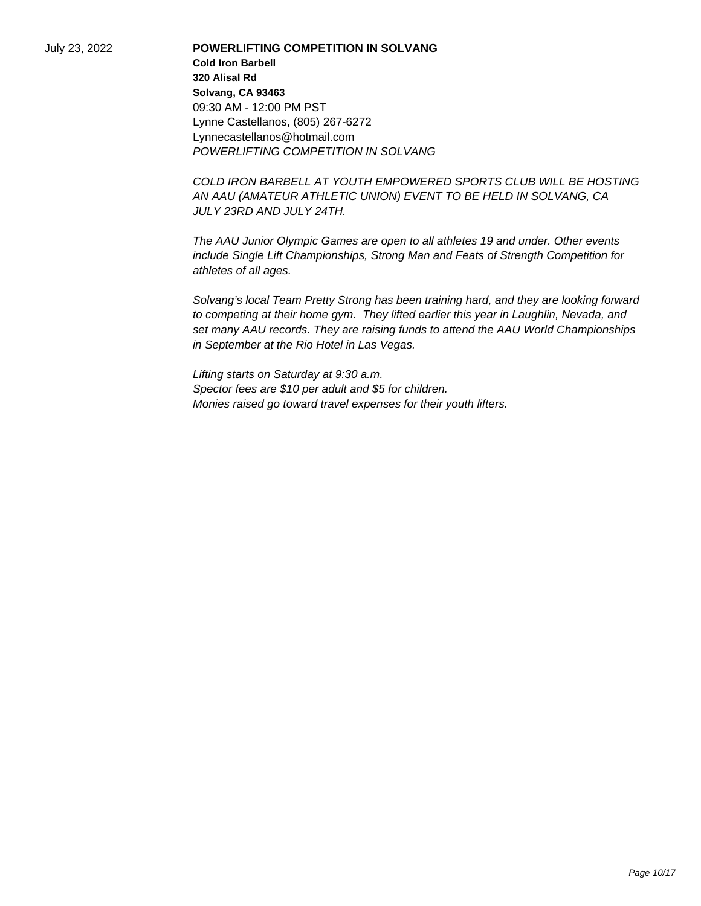July 23, 2022 **POWERLIFTING COMPETITION IN SOLVANG Cold Iron Barbell 320 Alisal Rd Solvang, CA 93463** 09:30 AM - 12:00 PM PST Lynne Castellanos, (805) 267-6272 Lynnecastellanos@hotmail.com POWERLIFTING COMPETITION IN SOLVANG

> COLD IRON BARBELL AT YOUTH EMPOWERED SPORTS CLUB WILL BE HOSTING AN AAU (AMATEUR ATHLETIC UNION) EVENT TO BE HELD IN SOLVANG, CA JULY 23RD AND JULY 24TH.

The AAU Junior Olympic Games are open to all athletes 19 and under. Other events include Single Lift Championships, Strong Man and Feats of Strength Competition for athletes of all ages.

Solvang's local Team Pretty Strong has been training hard, and they are looking forward to competing at their home gym. They lifted earlier this year in Laughlin, Nevada, and set many AAU records. They are raising funds to attend the AAU World Championships in September at the Rio Hotel in Las Vegas.

Lifting starts on Saturday at 9:30 a.m. Spector fees are \$10 per adult and \$5 for children. Monies raised go toward travel expenses for their youth lifters.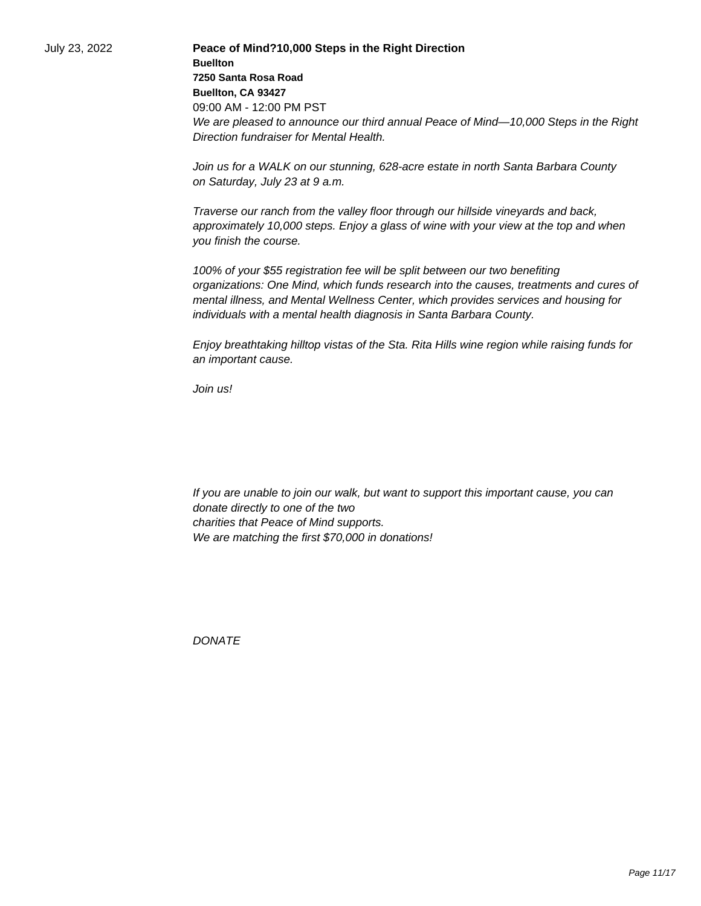July 23, 2022 **Peace of Mind?10,000 Steps in the Right Direction Buellton 7250 Santa Rosa Road Buellton, CA 93427** 09:00 AM - 12:00 PM PST We are pleased to announce our third annual Peace of Mind—10,000 Steps in the Right Direction fundraiser for Mental Health.

> Join us for a WALK on our stunning, 628-acre estate in north Santa Barbara County on Saturday, July 23 at 9 a.m.

Traverse our ranch from the valley floor through our hillside vineyards and back, approximately 10,000 steps. Enjoy a glass of wine with your view at the top and when you finish the course.

100% of your \$55 registration fee will be split between our two benefiting organizations: One Mind, which funds research into the causes, treatments and cures of mental illness, and Mental Wellness Center, which provides services and housing for individuals with a mental health diagnosis in Santa Barbara County.

Enjoy breathtaking hilltop vistas of the Sta. Rita Hills wine region while raising funds for an important cause.

Join us!

 If you are unable to join our walk, but want to support this important cause, you can donate directly to one of the two charities that Peace of Mind supports. We are matching the first \$70,000 in donations!

**DONATE**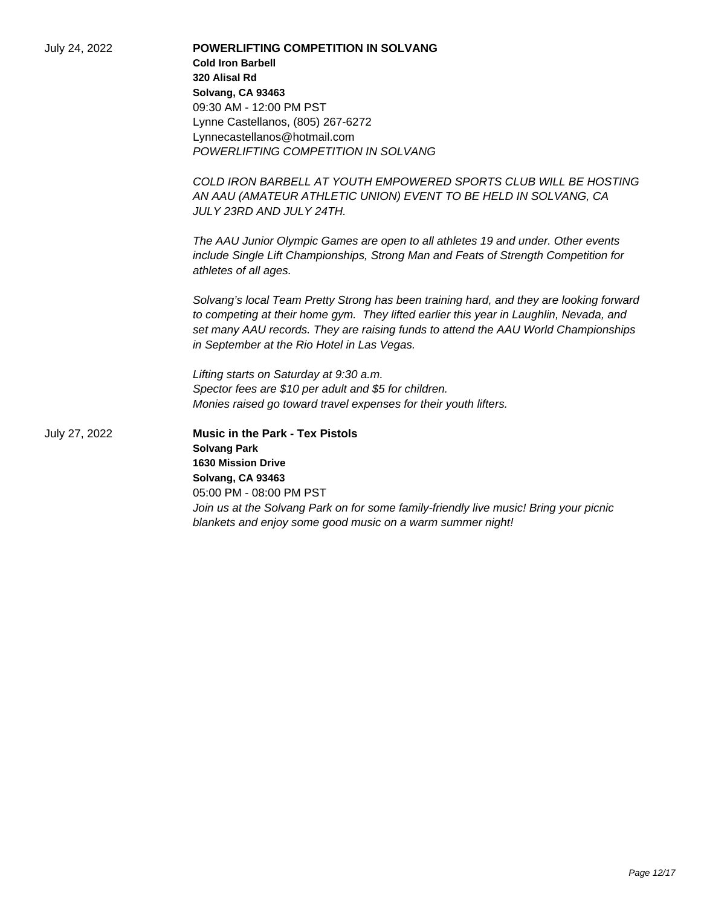| July 24, 2022 | <b>POWERLIFTING COMPETITION IN SOLVANG</b><br><b>Cold Iron Barbell</b>                                                                                                                                                                                                                                                 |
|---------------|------------------------------------------------------------------------------------------------------------------------------------------------------------------------------------------------------------------------------------------------------------------------------------------------------------------------|
|               | 320 Alisal Rd                                                                                                                                                                                                                                                                                                          |
|               | Solvang, CA 93463                                                                                                                                                                                                                                                                                                      |
|               | 09:30 AM - 12:00 PM PST                                                                                                                                                                                                                                                                                                |
|               | Lynne Castellanos, (805) 267-6272                                                                                                                                                                                                                                                                                      |
|               | Lynnecastellanos@hotmail.com                                                                                                                                                                                                                                                                                           |
|               | POWERLIFTING COMPETITION IN SOLVANG                                                                                                                                                                                                                                                                                    |
|               | COLD IRON BARBELL AT YOUTH EMPOWERED SPORTS CLUB WILL BE HOSTING                                                                                                                                                                                                                                                       |
|               | AN AAU (AMATEUR ATHLETIC UNION) EVENT TO BE HELD IN SOLVANG, CA<br>JULY 23RD AND JULY 24TH.                                                                                                                                                                                                                            |
|               | The AAU Junior Olympic Games are open to all athletes 19 and under. Other events<br>include Single Lift Championships, Strong Man and Feats of Strength Competition for<br>athletes of all ages.                                                                                                                       |
|               | Solvang's local Team Pretty Strong has been training hard, and they are looking forward<br>to competing at their home gym. They lifted earlier this year in Laughlin, Nevada, and<br>set many AAU records. They are raising funds to attend the AAU World Championships<br>in September at the Rio Hotel in Las Vegas. |
|               | Lifting starts on Saturday at 9:30 a.m.                                                                                                                                                                                                                                                                                |
|               | Spector fees are \$10 per adult and \$5 for children.                                                                                                                                                                                                                                                                  |
|               | Monies raised go toward travel expenses for their youth lifters.                                                                                                                                                                                                                                                       |
| July 27, 2022 | <b>Music in the Park - Tex Pistols</b>                                                                                                                                                                                                                                                                                 |
|               | <b>Solvang Park</b>                                                                                                                                                                                                                                                                                                    |
|               | <b>1630 Mission Drive</b>                                                                                                                                                                                                                                                                                              |
|               | Solvang, CA 93463                                                                                                                                                                                                                                                                                                      |
|               | 05:00 PM - 08:00 PM PST                                                                                                                                                                                                                                                                                                |
|               | Join us at the Solvang Park on for some family-friendly live music! Bring your picnic<br>blankets and enjoy some good music on a warm summer night!                                                                                                                                                                    |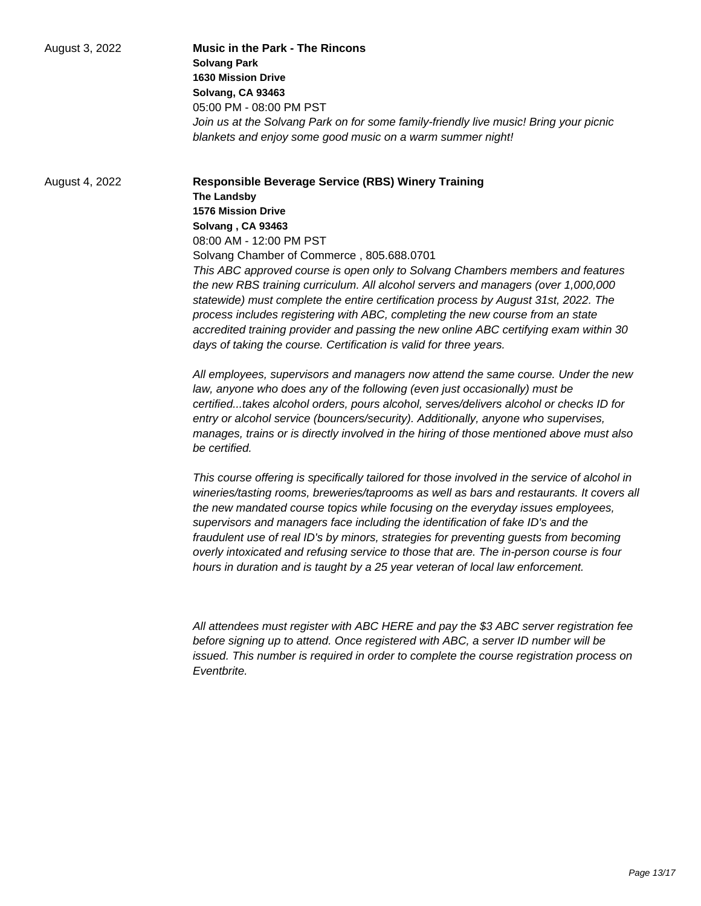| August 3, 2022 | <b>Music in the Park - The Rincons</b>                                                |
|----------------|---------------------------------------------------------------------------------------|
|                | <b>Solvang Park</b>                                                                   |
|                | <b>1630 Mission Drive</b>                                                             |
|                | Solvang, CA 93463                                                                     |
|                | 05:00 PM - 08:00 PM PST                                                               |
|                | Join us at the Solvang Park on for some family-friendly live music! Bring your picnic |
|                | blankets and enjoy some good music on a warm summer night!                            |

August 4, 2022 **Responsible Beverage Service (RBS) Winery Training The Landsby 1576 Mission Drive Solvang , CA 93463** 08:00 AM - 12:00 PM PST Solvang Chamber of Commerce , 805.688.0701 This ABC approved course is open only to Solvang Chambers members and features the new RBS training curriculum. All alcohol servers and managers (over 1,000,000 statewide) must complete the entire certification process by August 31st, 2022. The process includes registering with ABC, completing the new course from an state accredited training provider and passing the new online ABC certifying exam within 30 days of taking the course. Certification is valid for three years.

> All employees, supervisors and managers now attend the same course. Under the new law, anyone who does any of the following (even just occasionally) must be certified...takes alcohol orders, pours alcohol, serves/delivers alcohol or checks ID for entry or alcohol service (bouncers/security). Additionally, anyone who supervises, manages, trains or is directly involved in the hiring of those mentioned above must also be certified.

This course offering is specifically tailored for those involved in the service of alcohol in wineries/tasting rooms, breweries/taprooms as well as bars and restaurants. It covers all the new mandated course topics while focusing on the everyday issues employees, supervisors and managers face including the identification of fake ID's and the fraudulent use of real ID's by minors, strategies for preventing guests from becoming overly intoxicated and refusing service to those that are. The in-person course is four hours in duration and is taught by a 25 year veteran of local law enforcement.

All attendees must register with ABC HERE and pay the \$3 ABC server registration fee before signing up to attend. Once registered with ABC, a server ID number will be issued. This number is required in order to complete the course registration process on **Fventbrite**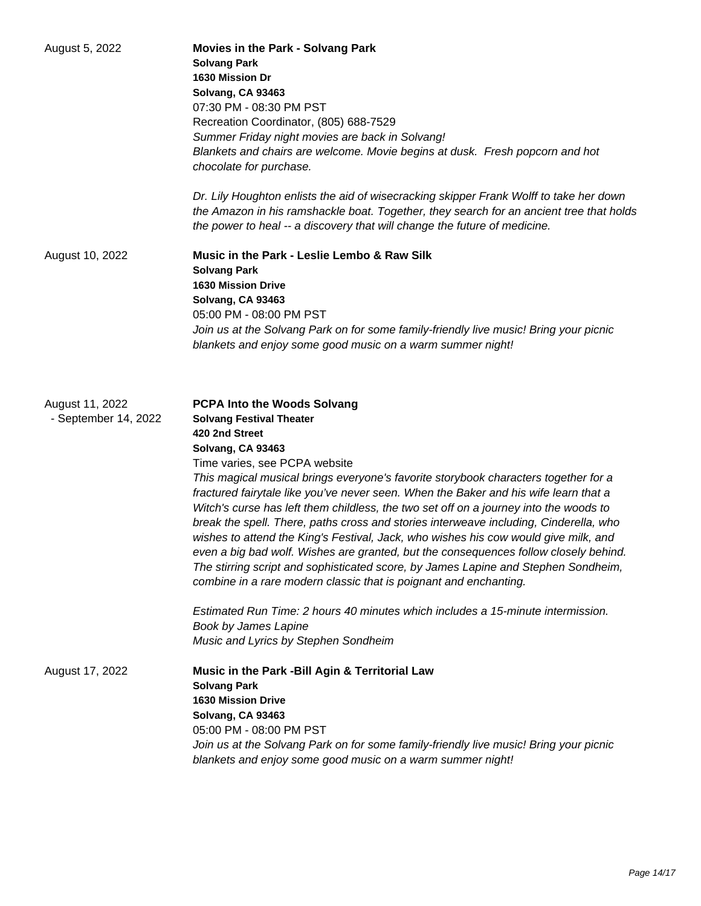| August 5, 2022                          | <b>Movies in the Park - Solvang Park</b><br><b>Solvang Park</b><br>1630 Mission Dr<br>Solvang, CA 93463<br>07:30 PM - 08:30 PM PST<br>Recreation Coordinator, (805) 688-7529<br>Summer Friday night movies are back in Solvang!<br>Blankets and chairs are welcome. Movie begins at dusk. Fresh popcorn and hot<br>chocolate for purchase.<br>Dr. Lily Houghton enlists the aid of wisecracking skipper Frank Wolff to take her down<br>the Amazon in his ramshackle boat. Together, they search for an ancient tree that holds<br>the power to heal -- a discovery that will change the future of medicine.                                                                                                                                                                                                                                                                                                                                                                                                |
|-----------------------------------------|-------------------------------------------------------------------------------------------------------------------------------------------------------------------------------------------------------------------------------------------------------------------------------------------------------------------------------------------------------------------------------------------------------------------------------------------------------------------------------------------------------------------------------------------------------------------------------------------------------------------------------------------------------------------------------------------------------------------------------------------------------------------------------------------------------------------------------------------------------------------------------------------------------------------------------------------------------------------------------------------------------------|
| August 10, 2022                         | Music in the Park - Leslie Lembo & Raw Silk<br><b>Solvang Park</b><br><b>1630 Mission Drive</b><br>Solvang, CA 93463<br>05:00 PM - 08:00 PM PST<br>Join us at the Solvang Park on for some family-friendly live music! Bring your picnic<br>blankets and enjoy some good music on a warm summer night!                                                                                                                                                                                                                                                                                                                                                                                                                                                                                                                                                                                                                                                                                                      |
| August 11, 2022<br>- September 14, 2022 | <b>PCPA Into the Woods Solvang</b><br><b>Solvang Festival Theater</b><br>420 2nd Street<br>Solvang, CA 93463<br>Time varies, see PCPA website<br>This magical musical brings everyone's favorite storybook characters together for a<br>fractured fairytale like you've never seen. When the Baker and his wife learn that a<br>Witch's curse has left them childless, the two set off on a journey into the woods to<br>break the spell. There, paths cross and stories interweave including, Cinderella, who<br>wishes to attend the King's Festival, Jack, who wishes his cow would give milk, and<br>even a big bad wolf. Wishes are granted, but the consequences follow closely behind.<br>The stirring script and sophisticated score, by James Lapine and Stephen Sondheim,<br>combine in a rare modern classic that is poignant and enchanting.<br>Estimated Run Time: 2 hours 40 minutes which includes a 15-minute intermission.<br>Book by James Lapine<br>Music and Lyrics by Stephen Sondheim |
| August 17, 2022                         | Music in the Park -Bill Agin & Territorial Law<br><b>Solvang Park</b><br><b>1630 Mission Drive</b><br>Solvang, CA 93463<br>05:00 PM - 08:00 PM PST<br>Join us at the Solvang Park on for some family-friendly live music! Bring your picnic<br>blankets and enjoy some good music on a warm summer night!                                                                                                                                                                                                                                                                                                                                                                                                                                                                                                                                                                                                                                                                                                   |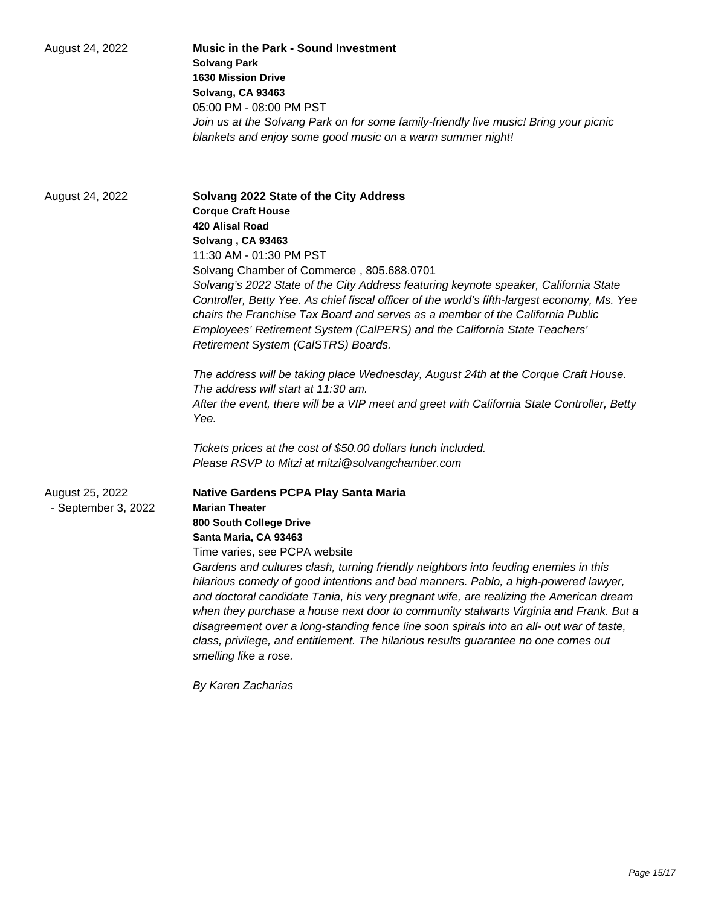| August 24, 2022                        | <b>Music in the Park - Sound Investment</b><br><b>Solvang Park</b><br><b>1630 Mission Drive</b><br>Solvang, CA 93463<br>05:00 PM - 08:00 PM PST<br>Join us at the Solvang Park on for some family-friendly live music! Bring your picnic<br>blankets and enjoy some good music on a warm summer night!                                                                                                                                                                                                                                                                                                                                                                                                                                |
|----------------------------------------|---------------------------------------------------------------------------------------------------------------------------------------------------------------------------------------------------------------------------------------------------------------------------------------------------------------------------------------------------------------------------------------------------------------------------------------------------------------------------------------------------------------------------------------------------------------------------------------------------------------------------------------------------------------------------------------------------------------------------------------|
| August 24, 2022                        | Solvang 2022 State of the City Address<br><b>Corque Craft House</b><br><b>420 Alisal Road</b><br>Solvang, CA 93463<br>11:30 AM - 01:30 PM PST<br>Solvang Chamber of Commerce, 805.688.0701<br>Solvang's 2022 State of the City Address featuring keynote speaker, California State<br>Controller, Betty Yee. As chief fiscal officer of the world's fifth-largest economy, Ms. Yee<br>chairs the Franchise Tax Board and serves as a member of the California Public<br>Employees' Retirement System (CalPERS) and the California State Teachers'<br>Retirement System (CalSTRS) Boards.<br>The address will be taking place Wednesday, August 24th at the Corque Craft House.                                                        |
|                                        | The address will start at 11:30 am.<br>After the event, there will be a VIP meet and greet with California State Controller, Betty<br>Yee.<br>Tickets prices at the cost of \$50.00 dollars lunch included.<br>Please RSVP to Mitzi at mitzi@solvangchamber.com                                                                                                                                                                                                                                                                                                                                                                                                                                                                       |
| August 25, 2022<br>- September 3, 2022 | <b>Native Gardens PCPA Play Santa Maria</b><br><b>Marian Theater</b><br>800 South College Drive<br>Santa Maria, CA 93463<br>Time varies, see PCPA website<br>Gardens and cultures clash, turning friendly neighbors into feuding enemies in this<br>hilarious comedy of good intentions and bad manners. Pablo, a high-powered lawyer,<br>and doctoral candidate Tania, his very pregnant wife, are realizing the American dream<br>when they purchase a house next door to community stalwarts Virginia and Frank. But a<br>disagreement over a long-standing fence line soon spirals into an all- out war of taste,<br>class, privilege, and entitlement. The hilarious results guarantee no one comes out<br>smelling like a rose. |

By Karen Zacharias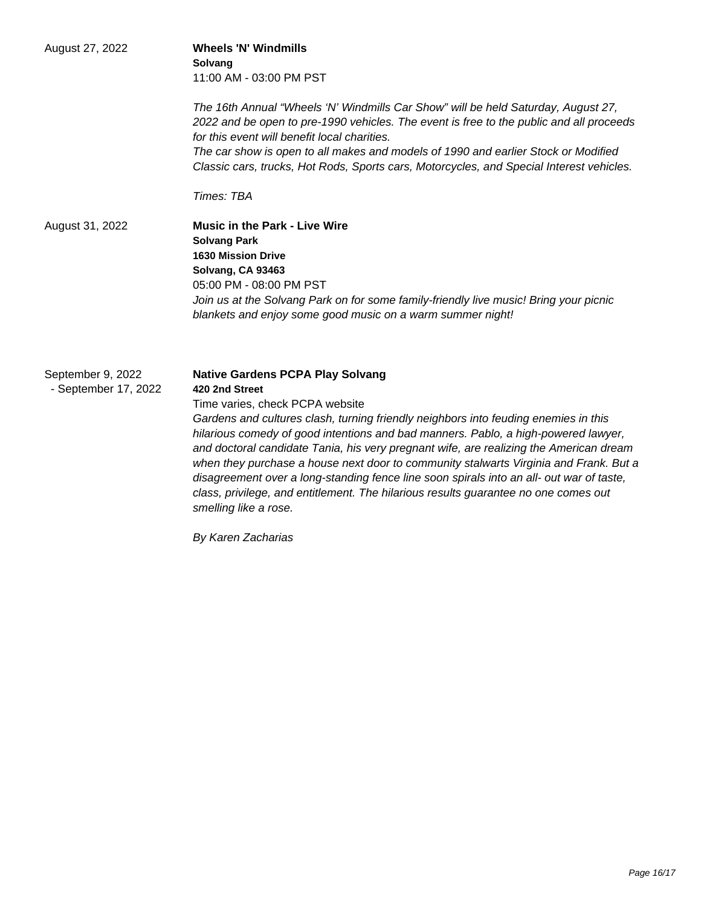| August 27, 2022                           | <b>Wheels 'N' Windmills</b><br>Solvang<br>11:00 AM - 03:00 PM PST<br>The 16th Annual "Wheels 'N' Windmills Car Show" will be held Saturday, August 27,<br>2022 and be open to pre-1990 vehicles. The event is free to the public and all proceeds                                                                                                                                                                                                                                                                                                                                                                                                                        |
|-------------------------------------------|--------------------------------------------------------------------------------------------------------------------------------------------------------------------------------------------------------------------------------------------------------------------------------------------------------------------------------------------------------------------------------------------------------------------------------------------------------------------------------------------------------------------------------------------------------------------------------------------------------------------------------------------------------------------------|
|                                           | for this event will benefit local charities.<br>The car show is open to all makes and models of 1990 and earlier Stock or Modified<br>Classic cars, trucks, Hot Rods, Sports cars, Motorcycles, and Special Interest vehicles.                                                                                                                                                                                                                                                                                                                                                                                                                                           |
| August 31, 2022                           | Times: TBA<br><b>Music in the Park - Live Wire</b><br><b>Solvang Park</b><br><b>1630 Mission Drive</b><br>Solvang, CA 93463<br>05:00 PM - 08:00 PM PST<br>Join us at the Solvang Park on for some family-friendly live music! Bring your picnic<br>blankets and enjoy some good music on a warm summer night!                                                                                                                                                                                                                                                                                                                                                            |
| September 9, 2022<br>- September 17, 2022 | <b>Native Gardens PCPA Play Solvang</b><br>420 2nd Street<br>Time varies, check PCPA website<br>Gardens and cultures clash, turning friendly neighbors into feuding enemies in this<br>hilarious comedy of good intentions and bad manners. Pablo, a high-powered lawyer,<br>and doctoral candidate Tania, his very pregnant wife, are realizing the American dream<br>when they purchase a house next door to community stalwarts Virginia and Frank. But a<br>disagreement over a long-standing fence line soon spirals into an all- out war of taste,<br>class, privilege, and entitlement. The hilarious results guarantee no one comes out<br>smelling like a rose. |

By Karen Zacharias